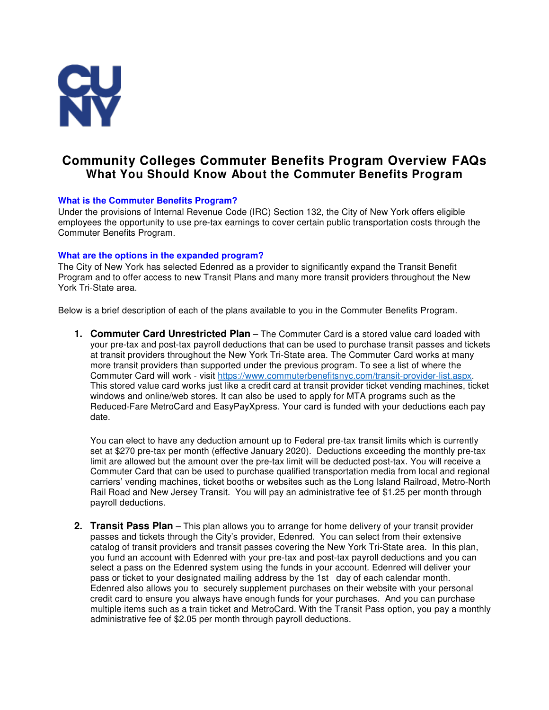

# **Community Colleges Commuter Benefits Program Overview FAQs What You Should Know About the Commuter Benefits Program**

# **What is the Commuter Benefits Program?**

Under the provisions of Internal Revenue Code (IRC) Section 132, the City of New York offers eligible employees the opportunity to use pre-tax earnings to cover certain public transportation costs through the Commuter Benefits Program.

# **What are the options in the expanded program?**

The City of New York has selected Edenred as a provider to significantly expand the Transit Benefit Program and to offer access to new Transit Plans and many more transit providers throughout the New York Tri-State area.

Below is a brief description of each of the plans available to you in the Commuter Benefits Program.

**1. Commuter Card Unrestricted Plan** – The Commuter Card is a stored value card loaded with your pre-tax and post-tax payroll deductions that can be used to purchase transit passes and tickets at transit providers throughout the New York Tri-State area. The Commuter Card works at many more transit providers than supported under the previous program. To see a list of where the Commuter Card will work - visit https://www.commuterbenefitsnyc.com/transit-provider-list.aspx. This stored value card works just like a credit card at transit provider ticket vending machines, ticket windows and online/web stores. It can also be used to apply for MTA programs such as the Reduced-Fare MetroCard and EasyPayXpress. Your card is funded with your deductions each pay date.

You can elect to have any deduction amount up to Federal pre-tax transit limits which is currently set at \$270 pre-tax per month (effective January 2020). Deductions exceeding the monthly pre-tax limit are allowed but the amount over the pre-tax limit will be deducted post-tax. You will receive a Commuter Card that can be used to purchase qualified transportation media from local and regional carriers' vending machines, ticket booths or websites such as the Long Island Railroad, Metro-North Rail Road and New Jersey Transit. You will pay an administrative fee of \$1.25 per month through payroll deductions.

**2. Transit Pass Plan** – This plan allows you to arrange for home delivery of your transit provider passes and tickets through the City's provider, Edenred. You can select from their extensive catalog of transit providers and transit passes covering the New York Tri-State area. In this plan, you fund an account with Edenred with your pre-tax and post-tax payroll deductions and you can select a pass on the Edenred system using the funds in your account. Edenred will deliver your pass or ticket to your designated mailing address by the 1st day of each calendar month. Edenred also allows you to securely supplement purchases on their website with your personal credit card to ensure you always have enough funds for your purchases. And you can purchase multiple items such as a train ticket and MetroCard. With the Transit Pass option, you pay a monthly administrative fee of \$2.05 per month through payroll deductions.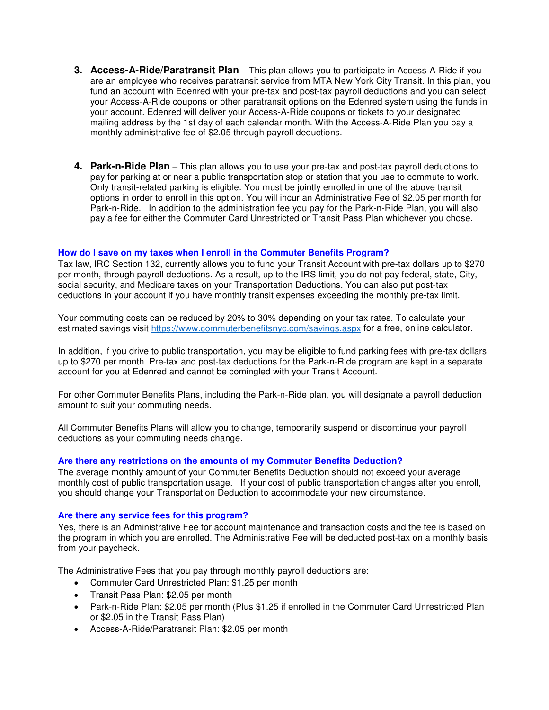- **3. Access-A-Ride/Paratransit Plan** This plan allows you to participate in Access-A-Ride if you are an employee who receives paratransit service from MTA New York City Transit. In this plan, you fund an account with Edenred with your pre-tax and post-tax payroll deductions and you can select your Access-A-Ride coupons or other paratransit options on the Edenred system using the funds in your account. Edenred will deliver your Access-A-Ride coupons or tickets to your designated mailing address by the 1st day of each calendar month. With the Access-A-Ride Plan you pay a monthly administrative fee of \$2.05 through payroll deductions.
- **4. Park-n-Ride Plan** This plan allows you to use your pre-tax and post-tax payroll deductions to pay for parking at or near a public transportation stop or station that you use to commute to work. Only transit-related parking is eligible. You must be jointly enrolled in one of the above transit options in order to enroll in this option. You will incur an Administrative Fee of \$2.05 per month for Park-n-Ride. In addition to the administration fee you pay for the Park-n-Ride Plan, you will also pay a fee for either the Commuter Card Unrestricted or Transit Pass Plan whichever you chose.

# **How do I save on my taxes when I enroll in the Commuter Benefits Program?**

Tax law, IRC Section 132, currently allows you to fund your Transit Account with pre-tax dollars up to \$270 per month, through payroll deductions. As a result, up to the IRS limit, you do not pay federal, state, City, social security, and Medicare taxes on your Transportation Deductions. You can also put post-tax deductions in your account if you have monthly transit expenses exceeding the monthly pre-tax limit.

Your commuting costs can be reduced by 20% to 30% depending on your tax rates. To calculate your estimated savings visit https://www.commuterbenefitsnyc.com/savings.aspx for a free, online calculator.

In addition, if you drive to public transportation, you may be eligible to fund parking fees with pre-tax dollars up to \$270 per month. Pre-tax and post-tax deductions for the Park-n-Ride program are kept in a separate account for you at Edenred and cannot be comingled with your Transit Account.

For other Commuter Benefits Plans, including the Park-n-Ride plan, you will designate a payroll deduction amount to suit your commuting needs.

All Commuter Benefits Plans will allow you to change, temporarily suspend or discontinue your payroll deductions as your commuting needs change.

## **Are there any restrictions on the amounts of my Commuter Benefits Deduction?**

The average monthly amount of your Commuter Benefits Deduction should not exceed your average monthly cost of public transportation usage. If your cost of public transportation changes after you enroll, you should change your Transportation Deduction to accommodate your new circumstance.

#### **Are there any service fees for this program?**

Yes, there is an Administrative Fee for account maintenance and transaction costs and the fee is based on the program in which you are enrolled. The Administrative Fee will be deducted post-tax on a monthly basis from your paycheck.

The Administrative Fees that you pay through monthly payroll deductions are:

- Commuter Card Unrestricted Plan: \$1.25 per month
- Transit Pass Plan: \$2.05 per month
- Park-n-Ride Plan: \$2.05 per month (Plus \$1.25 if enrolled in the Commuter Card Unrestricted Plan or \$2.05 in the Transit Pass Plan)
- Access-A-Ride/Paratransit Plan: \$2.05 per month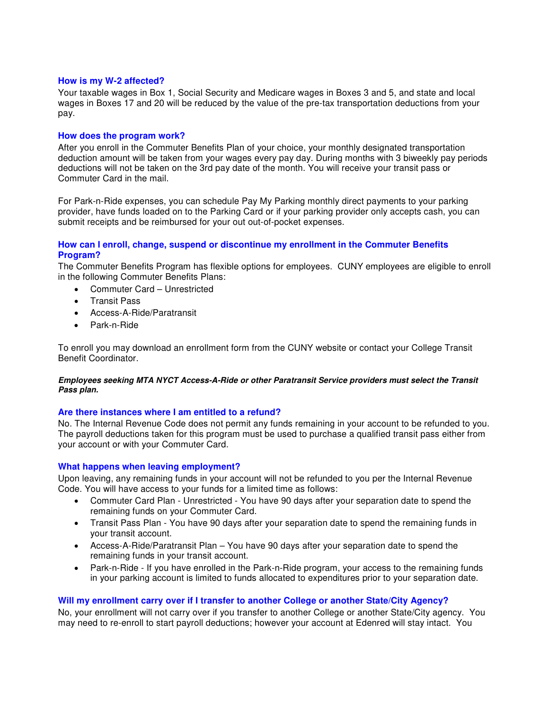## **How is my W-2 affected?**

Your taxable wages in Box 1, Social Security and Medicare wages in Boxes 3 and 5, and state and local wages in Boxes 17 and 20 will be reduced by the value of the pre-tax transportation deductions from your pay.

## **How does the program work?**

After you enroll in the Commuter Benefits Plan of your choice, your monthly designated transportation deduction amount will be taken from your wages every pay day. During months with 3 biweekly pay periods deductions will not be taken on the 3rd pay date of the month. You will receive your transit pass or Commuter Card in the mail.

For Park-n-Ride expenses, you can schedule Pay My Parking monthly direct payments to your parking provider, have funds loaded on to the Parking Card or if your parking provider only accepts cash, you can submit receipts and be reimbursed for your out out-of-pocket expenses.

## **How can I enroll, change, suspend or discontinue my enrollment in the Commuter Benefits Program?**

The Commuter Benefits Program has flexible options for employees. CUNY employees are eligible to enroll in the following Commuter Benefits Plans:

- Commuter Card Unrestricted
- Transit Pass
- Access-A-Ride/Paratransit
- Park-n-Ride

To enroll you may download an enrollment form from the CUNY website or contact your College Transit Benefit Coordinator.

#### **Employees seeking MTA NYCT Access-A-Ride or other Paratransit Service providers must select the Transit Pass plan.**

#### **Are there instances where I am entitled to a refund?**

No. The Internal Revenue Code does not permit any funds remaining in your account to be refunded to you. The payroll deductions taken for this program must be used to purchase a qualified transit pass either from your account or with your Commuter Card.

#### **What happens when leaving employment?**

Upon leaving, any remaining funds in your account will not be refunded to you per the Internal Revenue Code. You will have access to your funds for a limited time as follows:

- Commuter Card Plan Unrestricted You have 90 days after your separation date to spend the remaining funds on your Commuter Card.
- Transit Pass Plan You have 90 days after your separation date to spend the remaining funds in your transit account.
- Access-A-Ride/Paratransit Plan You have 90 days after your separation date to spend the remaining funds in your transit account.
- Park-n-Ride If you have enrolled in the Park-n-Ride program, your access to the remaining funds in your parking account is limited to funds allocated to expenditures prior to your separation date.

#### **Will my enrollment carry over if I transfer to another College or another State/City Agency?**

No, your enrollment will not carry over if you transfer to another College or another State/City agency. You may need to re-enroll to start payroll deductions; however your account at Edenred will stay intact. You